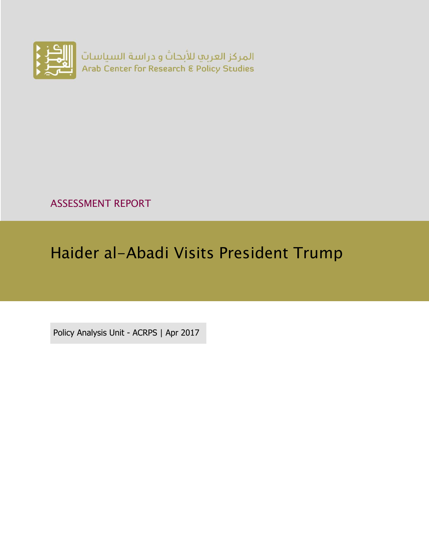

ASSESSMENT REPORT

# Haider al-Abadi Visits President Trump

Policy Analysis Unit - ACRPS | Apr 2017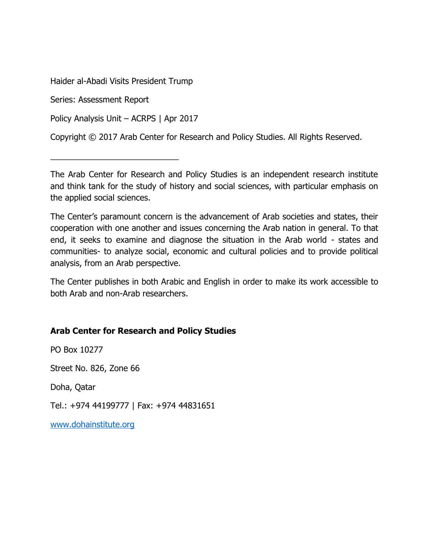Haider al-Abadi Visits President Trump

Series: Assessment Report

Policy Analysis Unit – ACRPS | Apr 2017

\_\_\_\_\_\_\_\_\_\_\_\_\_\_\_\_\_\_\_\_\_\_\_\_\_\_\_\_

Copyright © 2017 Arab Center for Research and Policy Studies. All Rights Reserved.

The Arab Center for Research and Policy Studies is an independent research institute and think tank for the study of history and social sciences, with particular emphasis on the applied social sciences.

The Center's paramount concern is the advancement of Arab societies and states, their cooperation with one another and issues concerning the Arab nation in general. To that end, it seeks to examine and diagnose the situation in the Arab world - states and communities- to analyze social, economic and cultural policies and to provide political analysis, from an Arab perspective.

The Center publishes in both Arabic and English in order to make its work accessible to both Arab and non-Arab researchers.

#### **Arab Center for Research and Policy Studies**

PO Box 10277

Street No. 826, Zone 66

Doha, Qatar

Tel.: +974 44199777 | Fax: +974 44831651

[www.dohainstitute.org](file:///C:/Users/dena.qaddumi/Desktop/www.dohainstitute.org)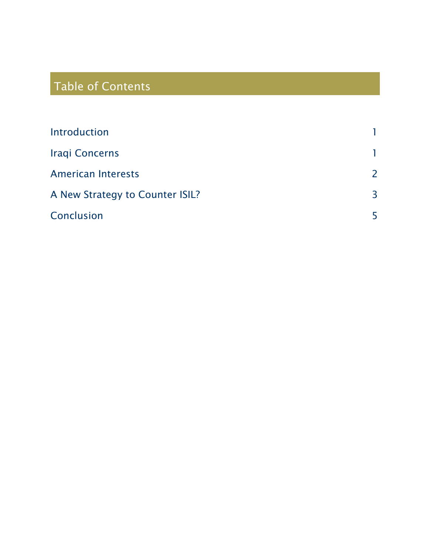# Table of Contents

| Introduction                    |                          |
|---------------------------------|--------------------------|
| <b>Iraqi Concerns</b>           |                          |
| <b>American Interests</b>       | $\overline{\phantom{0}}$ |
| A New Strategy to Counter ISIL? | $\overline{3}$           |
| Conclusion                      | 5                        |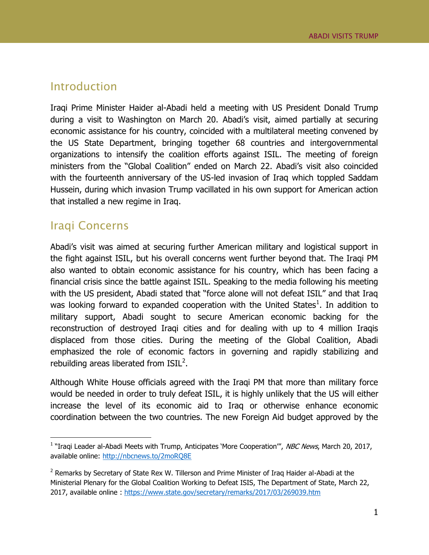#### <span id="page-4-0"></span>Introduction

Iraqi Prime Minister Haider al-Abadi held a meeting with US President Donald Trump during a visit to Washington on March 20. Abadi's visit, aimed partially at securing economic assistance for his country, coincided with a multilateral meeting convened by the US State Department, bringing together 68 countries and intergovernmental organizations to intensify the coalition efforts against ISIL. The meeting of foreign ministers from the "Global Coalition" ended on March 22. Abadi's visit also coincided with the fourteenth anniversary of the US-led invasion of Iraq which toppled Saddam Hussein, during which invasion Trump vacillated in his own support for American action that installed a new regime in Iraq.

### <span id="page-4-1"></span>Iraqi Concerns

 $\overline{a}$ 

Abadi's visit was aimed at securing further American military and logistical support in the fight against ISIL, but his overall concerns went further beyond that. The Iraqi PM also wanted to obtain economic assistance for his country, which has been facing a financial crisis since the battle against ISIL. Speaking to the media following his meeting with the US president, Abadi stated that "force alone will not defeat ISIL" and that Iraq was looking forward to expanded cooperation with the United States<sup>1</sup>. In addition to military support, Abadi sought to secure American economic backing for the reconstruction of destroyed Iraqi cities and for dealing with up to 4 million Iraqis displaced from those cities. During the meeting of the Global Coalition, Abadi emphasized the role of economic factors in governing and rapidly stabilizing and rebuilding areas liberated from  $ISIL<sup>2</sup>$ .

Although White House officials agreed with the Iraqi PM that more than military force would be needed in order to truly defeat ISIL, it is highly unlikely that the US will either increase the level of its economic aid to Iraq or otherwise enhance economic coordination between the two countries. The new Foreign Aid budget approved by the

<sup>&</sup>lt;sup>1</sup> "Iraqi Leader al-Abadi Meets with Trump, Anticipates 'More Cooperation'", NBC News, March 20, 2017, available online:<http://nbcnews.to/2moRQ8E>

<sup>&</sup>lt;sup>2</sup> Remarks by Secretary of State Rex W. Tillerson and Prime Minister of Iraq Haider al-Abadi at the Ministerial Plenary for the Global Coalition Working to Defeat ISIS, The Department of State, March 22, 2017, available online :<https://www.state.gov/secretary/remarks/2017/03/269039.htm>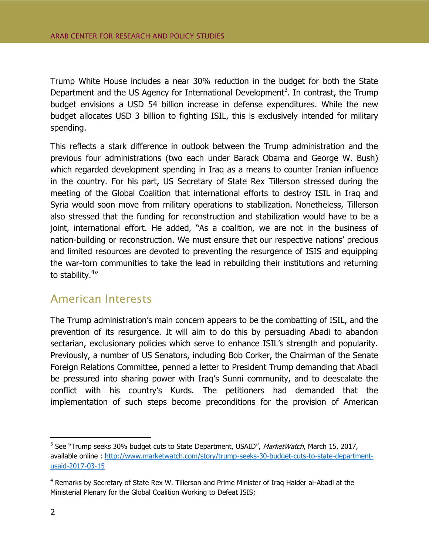Trump White House includes a near 30% reduction in the budget for both the State Department and the US Agency for International Development<sup>3</sup>. In contrast, the Trump budget envisions a USD 54 billion increase in defense expenditures. While the new budget allocates USD 3 billion to fighting ISIL, this is exclusively intended for military spending.

This reflects a stark difference in outlook between the Trump administration and the previous four administrations (two each under Barack Obama and George W. Bush) which regarded development spending in Iraq as a means to counter Iranian influence in the country. For his part, US Secretary of State Rex Tillerson stressed during the meeting of the Global Coalition that international efforts to destroy ISIL in Iraq and Syria would soon move from military operations to stabilization. Nonetheless, Tillerson also stressed that the funding for reconstruction and stabilization would have to be a joint, international effort. He added, "As a coalition, we are not in the business of nation-building or reconstruction. We must ensure that our respective nations' precious and limited resources are devoted to preventing the resurgence of ISIS and equipping the war-torn communities to take the lead in rebuilding their institutions and returning to stability.<sup>4</sup>"

### <span id="page-5-0"></span>American Interests

The Trump administration's main concern appears to be the combatting of ISIL, and the prevention of its resurgence. It will aim to do this by persuading Abadi to abandon sectarian, exclusionary policies which serve to enhance ISIL's strength and popularity. Previously, a number of US Senators, including Bob Corker, the Chairman of the Senate Foreign Relations Committee, penned a letter to President Trump demanding that Abadi be pressured into sharing power with Iraq's Sunni community, and to deescalate the conflict with his country's Kurds. The petitioners had demanded that the implementation of such steps become preconditions for the provision of American

 $\overline{a}$ 

<sup>&</sup>lt;sup>3</sup> See "Trump seeks 30% budget cuts to State Department, USAID", MarketWatch, March 15, 2017, available online : [http://www.marketwatch.com/story/trump-seeks-30-budget-cuts-to-state-department](http://www.marketwatch.com/story/trump-seeks-30-budget-cuts-to-state-department-usaid-2017-03-15)[usaid-2017-03-15](http://www.marketwatch.com/story/trump-seeks-30-budget-cuts-to-state-department-usaid-2017-03-15)

<sup>&</sup>lt;sup>4</sup> Remarks by Secretary of State Rex W. Tillerson and Prime Minister of Iraq Haider al-Abadi at the Ministerial Plenary for the Global Coalition Working to Defeat ISIS;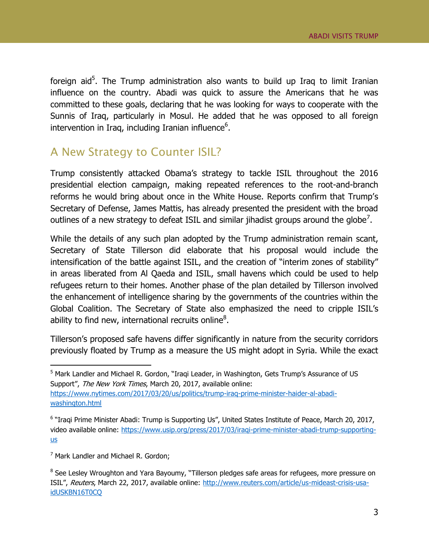foreign aid<sup>5</sup>. The Trump administration also wants to build up Iraq to limit Iranian influence on the country. Abadi was quick to assure the Americans that he was committed to these goals, declaring that he was looking for ways to cooperate with the Sunnis of Iraq, particularly in Mosul. He added that he was opposed to all foreign intervention in Iraq, including Iranian influence $6$ .

## <span id="page-6-0"></span>A New Strategy to Counter ISIL?

Trump consistently attacked Obama's strategy to tackle ISIL throughout the 2016 presidential election campaign, making repeated references to the root-and-branch reforms he would bring about once in the White House. Reports confirm that Trump's Secretary of Defense, James Mattis, has already presented the president with the broad outlines of a new strategy to defeat ISIL and similar jihadist groups around the globe<sup>7</sup>.

While the details of any such plan adopted by the Trump administration remain scant, Secretary of State Tillerson did elaborate that his proposal would include the intensification of the battle against ISIL, and the creation of "interim zones of stability" in areas liberated from Al Qaeda and ISIL, small havens which could be used to help refugees return to their homes. Another phase of the plan detailed by Tillerson involved the enhancement of intelligence sharing by the governments of the countries within the Global Coalition. The Secretary of State also emphasized the need to cripple ISIL's ability to find new, international recruits online $^8\!$ .

Tillerson's proposed safe havens differ significantly in nature from the security corridors previously floated by Trump as a measure the US might adopt in Syria. While the exact

 $\overline{a}$ 

<sup>&</sup>lt;sup>5</sup> Mark Landler and Michael R. Gordon, "Iraqi Leader, in Washington, Gets Trump's Assurance of US Support", The New York Times, March 20, 2017, available online: [https://www.nytimes.com/2017/03/20/us/politics/trump-iraq-prime-minister-haider-al-abadi](https://www.nytimes.com/2017/03/20/us/politics/trump-iraq-prime-minister-haider-al-abadi-washington.html)[washington.html](https://www.nytimes.com/2017/03/20/us/politics/trump-iraq-prime-minister-haider-al-abadi-washington.html)

<sup>&</sup>lt;sup>6</sup> "Iraqi Prime Minister Abadi: Trump is Supporting Us", United States Institute of Peace, March 20, 2017, video available online: [https://www.usip.org/press/2017/03/iraqi-prime-minister-abadi-trump-supporting](https://www.usip.org/press/2017/03/iraqi-prime-minister-abadi-trump-supporting-us)[us](https://www.usip.org/press/2017/03/iraqi-prime-minister-abadi-trump-supporting-us)

 $<sup>7</sup>$  Mark Landler and Michael R. Gordon:</sup>

<sup>&</sup>lt;sup>8</sup> See Lesley Wroughton and Yara Bayoumy, "Tillerson pledges safe areas for refugees, more pressure on ISIL", Reuters, March 22, 2017, available online: [http://www.reuters.com/article/us-mideast-crisis-usa](http://www.reuters.com/article/us-mideast-crisis-usa-idUSKBN16T0CQ)[idUSKBN16T0CQ](http://www.reuters.com/article/us-mideast-crisis-usa-idUSKBN16T0CQ)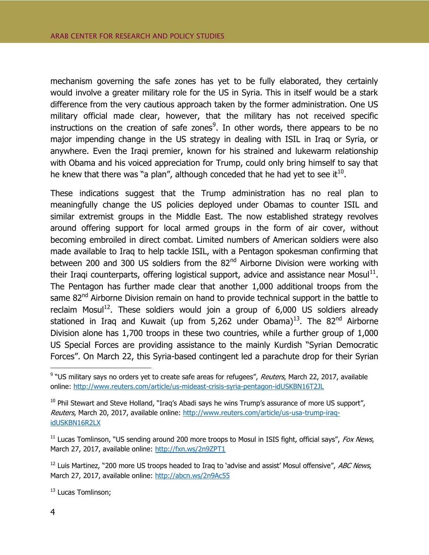mechanism governing the safe zones has yet to be fully elaborated, they certainly would involve a greater military role for the US in Syria. This in itself would be a stark difference from the very cautious approach taken by the former administration. One US military official made clear, however, that the military has not received specific instructions on the creation of safe zones<sup>9</sup>. In other words, there appears to be no major impending change in the US strategy in dealing with ISIL in Iraq or Syria, or anywhere. Even the Iraqi premier, known for his strained and lukewarm relationship with Obama and his voiced appreciation for Trump, could only bring himself to say that he knew that there was "a plan", although conceded that he had yet to see it<sup>10</sup>.

These indications suggest that the Trump administration has no real plan to meaningfully change the US policies deployed under Obamas to counter ISIL and similar extremist groups in the Middle East. The now established strategy revolves around offering support for local armed groups in the form of air cover, without becoming embroiled in direct combat. Limited numbers of American soldiers were also made available to Iraq to help tackle ISIL, with a Pentagon spokesman confirming that between 200 and 300 US soldiers from the 82<sup>nd</sup> Airborne Division were working with their Iraqi counterparts, offering logistical support, advice and assistance near Mosul $^{11}$ . The Pentagon has further made clear that another 1,000 additional troops from the same 82<sup>nd</sup> Airborne Division remain on hand to provide technical support in the battle to reclaim Mosul<sup>12</sup>. These soldiers would join a group of  $6,000$  US soldiers already stationed in Iraq and Kuwait (up from 5,262 under Obama)<sup>13</sup>. The 82<sup>nd</sup> Airborne Division alone has 1,700 troops in these two countries, while a further group of 1,000 US Special Forces are providing assistance to the mainly Kurdish "Syrian Democratic Forces". On March 22, this Syria-based contingent led a parachute drop for their Syrian

 $12$  Luis Martinez, "200 more US troops headed to Iraq to 'advise and assist' Mosul offensive", ABC News, March 27, 2017, available online:<http://abcn.ws/2n9Ac55>

<sup>13</sup> Lucas Tomlinson;

 $\overline{a}$ 

<sup>&</sup>lt;sup>9</sup> "US military says no orders yet to create safe areas for refugees", *Reuters*, March 22, 2017, available online:<http://www.reuters.com/article/us-mideast-crisis-syria-pentagon-idUSKBN16T2JL>

 $10$  Phil Stewart and Steve Holland, "Iraq's Abadi says he wins Trump's assurance of more US support", Reuters, March 20, 2017, available online: [http://www.reuters.com/article/us-usa-trump-iraq](http://www.reuters.com/article/us-usa-trump-iraq-idUSKBN16R2LX)[idUSKBN16R2LX](http://www.reuters.com/article/us-usa-trump-iraq-idUSKBN16R2LX)

 $11$  Lucas Tomlinson, "US sending around 200 more troops to Mosul in ISIS fight, official says", Fox News, March 27, 2017, available online:<http://fxn.ws/2n9ZPT1>